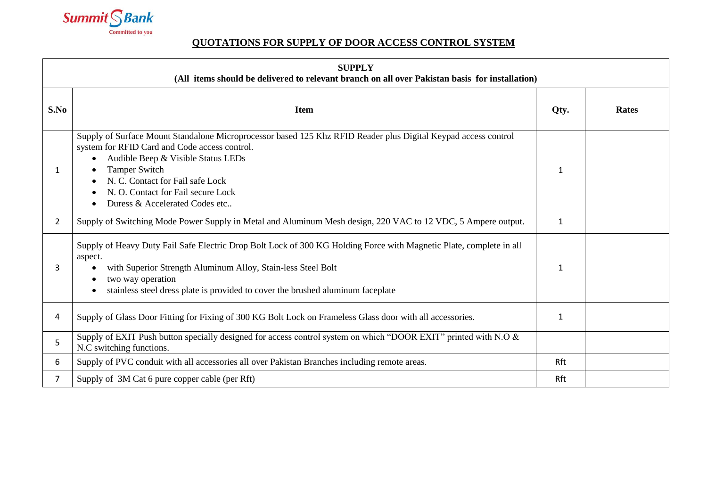

## **QUOTATIONS FOR SUPPLY OF DOOR ACCESS CONTROL SYSTEM**

| <b>SUPPLY</b><br>(All items should be delivered to relevant branch on all over Pakistan basis for installation) |                                                                                                                                                                                                                                                                                                                                           |              |              |  |
|-----------------------------------------------------------------------------------------------------------------|-------------------------------------------------------------------------------------------------------------------------------------------------------------------------------------------------------------------------------------------------------------------------------------------------------------------------------------------|--------------|--------------|--|
| S.No                                                                                                            | <b>Item</b>                                                                                                                                                                                                                                                                                                                               | Qty.         | <b>Rates</b> |  |
|                                                                                                                 | Supply of Surface Mount Standalone Microprocessor based 125 Khz RFID Reader plus Digital Keypad access control<br>system for RFID Card and Code access control.<br>Audible Beep & Visible Status LEDs<br><b>Tamper Switch</b><br>N. C. Contact for Fail safe Lock<br>N. O. Contact for Fail secure Lock<br>Duress & Accelerated Codes etc | 1            |              |  |
| 2                                                                                                               | Supply of Switching Mode Power Supply in Metal and Aluminum Mesh design, 220 VAC to 12 VDC, 5 Ampere output.                                                                                                                                                                                                                              | $\mathbf{1}$ |              |  |
| 3                                                                                                               | Supply of Heavy Duty Fail Safe Electric Drop Bolt Lock of 300 KG Holding Force with Magnetic Plate, complete in all<br>aspect.<br>with Superior Strength Aluminum Alloy, Stain-less Steel Bolt<br>two way operation<br>stainless steel dress plate is provided to cover the brushed aluminum faceplate                                    | 1            |              |  |
| 4                                                                                                               | Supply of Glass Door Fitting for Fixing of 300 KG Bolt Lock on Frameless Glass door with all accessories.                                                                                                                                                                                                                                 | 1            |              |  |
| 5                                                                                                               | Supply of EXIT Push button specially designed for access control system on which "DOOR EXIT" printed with N.O &<br>N.C switching functions.                                                                                                                                                                                               |              |              |  |
| 6                                                                                                               | Supply of PVC conduit with all accessories all over Pakistan Branches including remote areas.                                                                                                                                                                                                                                             | Rft          |              |  |
| 7                                                                                                               | Supply of 3M Cat 6 pure copper cable (per Rft)                                                                                                                                                                                                                                                                                            | Rft          |              |  |